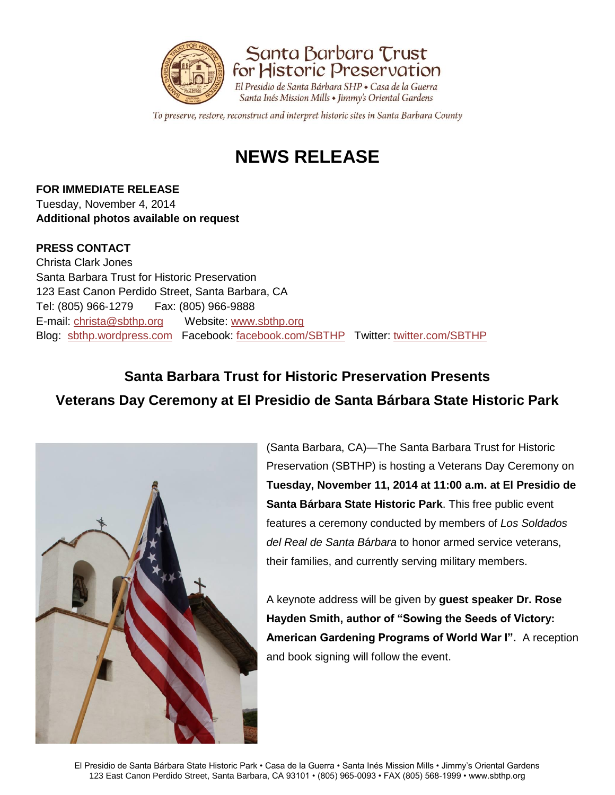

Santa Barbara Trust for Historic Preservation El Presidio de Santa Bárbara SHP + Casa de la Guerra Santa Inés Mission Mills • Jimmy's Oriental Gardens

To preserve, restore, reconstruct and interpret historic sites in Santa Barbara County

# **NEWS RELEASE**

**FOR IMMEDIATE RELEASE** Tuesday, November 4, 2014 **Additional photos available on request** 

## **PRESS CONTACT**

Christa Clark Jones Santa Barbara Trust for Historic Preservation 123 East Canon Perdido Street, Santa Barbara, CA Tel: (805) 966-1279 Fax: (805) 966-9888 E-mail: [christa@sbthp.org](mailto:christa@sbthp.org) Website: [www.sbthp.org](http://www.sbthp.org/) Blog: [sbthp.wordpress.com](http://sbthp.wordpress.com/) Facebook: [facebook.com/SBTHP](http://www.facebook.com/SBTHP) Twitter: [twitter.com/SBTHP](http://twitter.com/SBTHP)

## **Santa Barbara Trust for Historic Preservation Presents Veterans Day Ceremony at El Presidio de Santa Bárbara State Historic Park**



(Santa Barbara, CA)—The Santa Barbara Trust for Historic Preservation (SBTHP) is hosting a Veterans Day Ceremony on **Tuesday, November 11, 2014 at 11:00 a.m. at El Presidio de Santa Bárbara State Historic Park**. This free public event features a ceremony conducted by members of *Los Soldados del Real de Santa B*á*rbara* to honor armed service veterans, their families, and currently serving military members.

A keynote address will be given by **guest speaker Dr. Rose Hayden Smith, author of "Sowing the Seeds of Victory: American Gardening Programs of World War I".** A reception and book signing will follow the event.